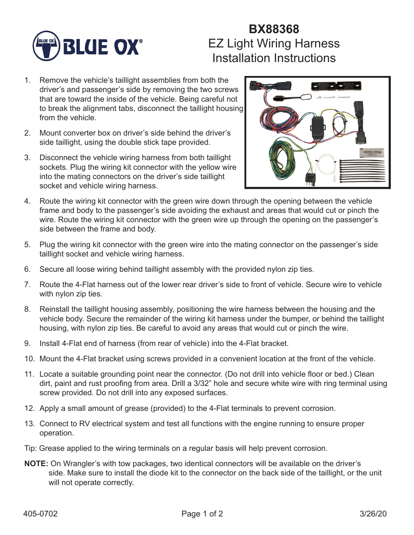

## **BX88368** EZ Light Wiring Harness Installation Instructions

- 1. Remove the vehicle's taillight assemblies from both the driver's and passenger's side by removing the two screws that are toward the inside of the vehicle. Being careful not to break the alignment tabs, disconnect the taillight housing from the vehicle.
- 2. Mount converter box on driver's side behind the driver's side taillight, using the double stick tape provided.
- 3. Disconnect the vehicle wiring harness from both taillight sockets. Plug the wiring kit connector with the yellow wire into the mating connectors on the driver's side taillight socket and vehicle wiring harness.



- 4. Route the wiring kit connector with the green wire down through the opening between the vehicle frame and body to the passenger's side avoiding the exhaust and areas that would cut or pinch the wire. Route the wiring kit connector with the green wire up through the opening on the passenger's side between the frame and body.
- 5. Plug the wiring kit connector with the green wire into the mating connector on the passenger's side taillight socket and vehicle wiring harness.
- 6. Secure all loose wiring behind taillight assembly with the provided nylon zip ties.
- 7. Route the 4-Flat harness out of the lower rear driver's side to front of vehicle. Secure wire to vehicle with nylon zip ties.
- 8. Reinstall the taillight housing assembly, positioning the wire harness between the housing and the vehicle body. Secure the remainder of the wiring kit harness under the bumper, or behind the taillight housing, with nylon zip ties. Be careful to avoid any areas that would cut or pinch the wire.
- 9. Install 4-Flat end of harness (from rear of vehicle) into the 4-Flat bracket.
- 10. Mount the 4-Flat bracket using screws provided in a convenient location at the front of the vehicle.
- 11. Locate a suitable grounding point near the connector. (Do not drill into vehicle floor or bed.) Clean dirt, paint and rust proofing from area. Drill a 3/32" hole and secure white wire with ring terminal using screw provided. Do not drill into any exposed surfaces.
- 12. Apply a small amount of grease (provided) to the 4-Flat terminals to prevent corrosion.
- 13. Connect to RV electrical system and test all functions with the engine running to ensure proper operation.
- Tip: Grease applied to the wiring terminals on a regular basis will help prevent corrosion.
- **NOTE:** On Wrangler's with tow packages, two identical connectors will be available on the driver's side. Make sure to install the diode kit to the connector on the back side of the taillight, or the unit will not operate correctly.